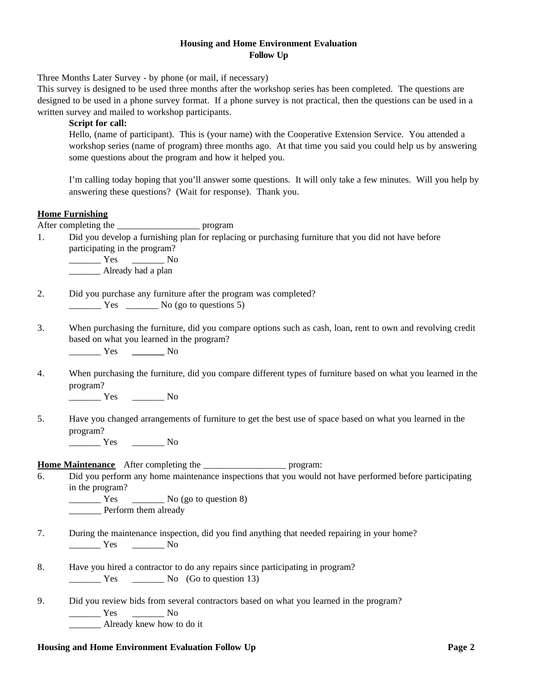## **Housing and Home Environment Evaluation Follow Up**

Three Months Later Survey - by phone (or mail, if necessary)

This survey is designed to be used three months after the workshop series has been completed. The questions are designed to be used in a phone survey format. If a phone survey is not practical, then the questions can be used in a written survey and mailed to workshop participants.

## **Script for call:**

Hello, (name of participant). This is (your name) with the Cooperative Extension Service. You attended a workshop series (name of program) three months ago. At that time you said you could help us by answering some questions about the program and how it helped you.

I'm calling today hoping that you'll answer some questions. It will only take a few minutes. Will you help by answering these questions? (Wait for response). Thank you.

## **Home Furnishing**

After completing the \_\_\_\_\_\_\_\_\_\_\_\_\_\_\_\_\_\_\_\_\_\_\_\_\_\_ program

1. Did you develop a furnishing plan for replacing or purchasing furniture that you did not have before participating in the program?

\_\_\_\_\_\_\_ Yes \_\_\_\_\_\_\_ No Already had a plan

- 2. Did you purchase any furniture after the program was completed? Yes No (go to questions 5)
- 3. When purchasing the furniture, did you compare options such as cash, loan, rent to own and revolving credit based on what you learned in the program?

\_\_\_\_\_\_\_ Yes **\_\_\_\_\_\_\_** No

4. When purchasing the furniture, did you compare different types of furniture based on what you learned in the program?

\_\_\_\_\_\_\_ Yes \_\_\_\_\_\_\_ No

5. Have you changed arrangements of furniture to get the best use of space based on what you learned in the program?

\_\_\_\_\_\_\_ Yes \_\_\_\_\_\_\_ No

**Home Maintenance** After completing the program:

6. Did you perform any home maintenance inspections that you would not have performed before participating in the program?

 $\frac{1}{\sqrt{1 - \frac{1}{\sqrt{1 - \frac{1}{\sqrt{1 - \frac{1}{\sqrt{1 - \frac{1}{\sqrt{1 - \frac{1}{\sqrt{1 - \frac{1}{\sqrt{1 - \frac{1}{\sqrt{1 - \frac{1}{\sqrt{1 - \frac{1}{\sqrt{1 - \frac{1}{\sqrt{1 - \frac{1}{\sqrt{1 - \frac{1}{\sqrt{1 - \frac{1}{\sqrt{1 - \frac{1}{\sqrt{1 - \frac{1}{\sqrt{1 - \frac{1}{\sqrt{1 - \frac{1}{\sqrt{1 - \frac{1}{\sqrt{1 - \frac{1}{\sqrt{1 - \frac{1}{\sqrt{1 - \frac{1}{\sqrt{1 -$ Perform them already

- 7. During the maintenance inspection, did you find anything that needed repairing in your home? \_\_\_\_\_\_\_ Yes \_\_\_\_\_\_\_ No
- 8. Have you hired a contractor to do any repairs since participating in program? Yes No (Go to question 13)
- 9. Did you review bids from several contractors based on what you learned in the program? \_\_\_\_\_\_\_ Yes \_\_\_\_\_\_\_ No Already knew how to do it

## **Housing and Home Environment Evaluation Follow Up Page 2**